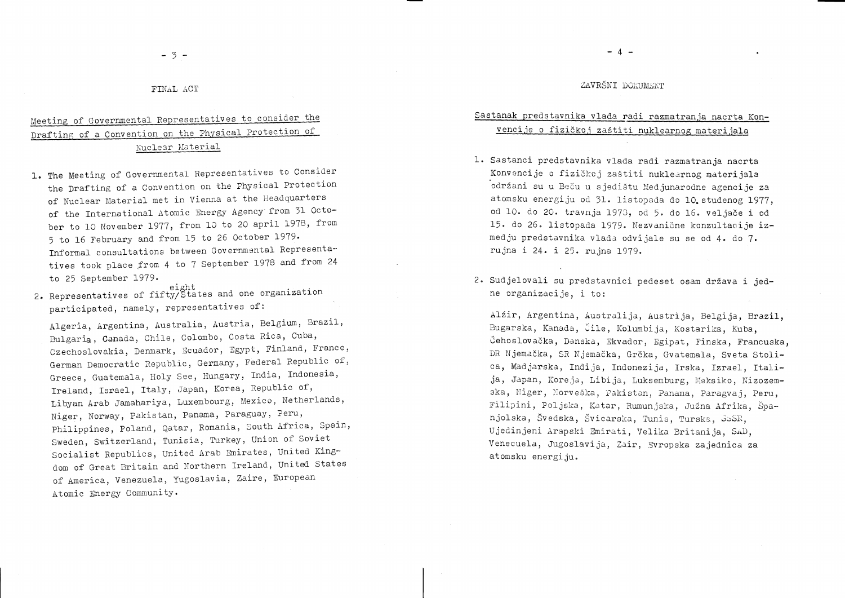## ZAVRŠNI DOKUMENT

# Sastanak predstavnika vlada radi razmatranja nacrta Konvencije o fizičkoj zaštiti nuklearnog materijala

- 1. Sastanci predstavnika vlada radi razmatranja nacrta Konvencije o fizičkoj zaštiti nuklearnog materijala održani su u Beču u sjedištu Medjunarodne agencije za atomsku energiju od 31. listopada do 10. studenog 1977, od 10. do 20. travnja 1973, od 5. do 16. veljače i od 15. do 26. listopada 1979. Nezvanične konzultacije izmedju predstavnika vlada odvijale su se od 4. do 7. rujna i 24. i 25. rujna 1979.
- 2. Sudjelovali su predstavnici pedeset osam država i jedne organizacije, i to:

Alžir, Argentina, Australija, Austrija, Belgija, Brazil, Bugarska, Kanada, Čile, Kolumbija, Kostarika, Kuba, Čehoslovačka, Danska, Ekvador, Egipat, Finska, Francuska, DR Njemačka, SR Njemačka, Grčka, Gvatemala, Sveta Stolica, Madjarska, Indija, Indonezija, Irska, Izrael, Italija, Japan, Koreja, Libija, Luksemburg, Meksiko, Nizozemska, Niger, Norveška, Pakistan, Panama, Paragvaj, Peru, Filipini, Poljska, Katar, Rumunjska, Južna Afrika, Španjolska, Švedska, Švicarska, Tunis, Turska, JSSR, Ujedinjeni Arapski Emirati, Velika Britanija, SAD, Venecuela, Jugoslavija, Zair, Evropska zajednica za atomsku energiju.

### FINAL ACT

# Meeting of Governmental Representatives to consider the Drafting of a Convention on the Physical Protection of Nuclear Material

- 1. The Meeting of Governmental Representatives to Consider the Drafting of a Convention on the Physical Protection of Nuclear Material met in Vienna at the Headquarters of the International Atomic Energy Agency from 31 October to 10 November 1977, from 10 to 20 april 1978, from 5 to 16 February and from 15 to 26 October 1979. Informal consultations between Governmental Representatives took place from 4 to 7 September 1978 and from 24 to 25 September 1979.
- eight<br>2. Representatives of fifty/States and one organization participated, namely, representatives of:

Algeria, Argentina, Australia, Austria, Belgium, Brazil, Bulgaria, Canada, Chile, Colombo, Costa Rica, Cuba, Czechoslovakia, Denmark, Ecuador, Egypt, Finland, France, German Democratic Republic, Germany, Federal Republic of, Greece, Guatemala, Holy See, Hungary, India, Indonesia, Ireland, Israel, Italy, Japan, Korea, Republic of, Libyan Arab Jamahariya, Luxembourg, Mexico, Netherlands, Niger, Norway, Pakistan, Panama, Paraguay, Peru, Philippines, Poland, Qatar, Romania, South Africa, Spain, Sweden, Switzerland, Tunisia, Turkey, Union of Soviet Socialist Republics, United Arab Emirates, United Kingdom of Great Britain and Northern Ireland, United States of America, Venezuela, Yugoslavia, Zaire, European Atomic Energy Community.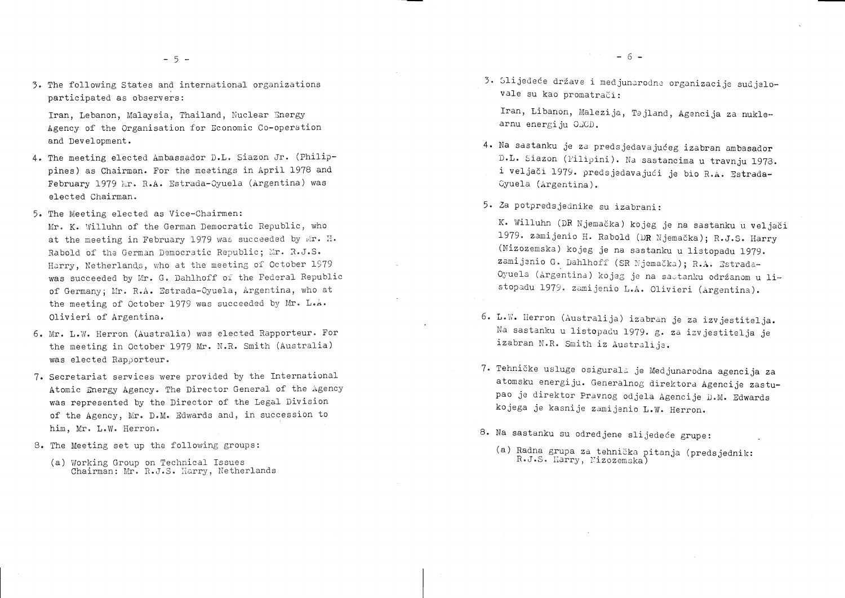3. The following States and international organizations participated as observers:

Iran, Lebanon, Malaysia, Thailand, Nuclear Energy Agency of the Organisation for Economic Co-operation and Development.

- 4. The meeting elected Ambassador D.L. Siazon Jr. (Philippines) as Chairman. For the meetings in April 1978 and February 1979 Mr. R.A. Estrada-Oyuela (Argentina) was elected Chairman.
- 5. The Meeting elected as Vice-Chairmen:
- Mr. K. Willuhn of the German Democratic Republic, who at the meeting in February 1979 was succeeded by Mr. H. Rabold of the German Democratic Republic; Mr. R.J.S. Harry, Netherlands, who at the meeting of October 1979 was succeeded by Mr. G. Dahlhoff of the Federal Republic of Germany; Mr. R.A. Estrada-Oyuela, Argentina, who at the meeting of October 1979 was succeeded by Mr. L.A. Olivieri of Argentina.
- 6. Mr. L.W. Herron (Australia) was elected Rapporteur. For the meeting in October 1979 Mr. N.R. Smith (Australia) was elected Rapporteur.
- 7. Secretariat services were provided by the International Atomic Energy Agency. The Director General of the Agency was represented by the Director of the Legal Division of the Agency, Mr. D.M. Edwards and, in succession to him, Mr. L.W. Herron.
- 8. The Meeting set up the following groups:
	- (a) Working Group on Technical Issues Chairman: Mr. R.J.S. Harry, Netherlands
- 
- 3. Slijedeće države i medjunarodne organizacije sudjelovale su kao promatrači:

Iran, Libanon, Malezija, Tajland, Agencija za nuklearnu energiju OECD.

 $-6-$ 

- 4. Na sastanku je za predsjedavajućeg izabran ambasador D.L. Siazon (Filipini). Na sastancima u travnju 1973. i veljači 1979. predsjedavajući je bio R.A. Estrada-Cyuela (Argentina).
- 5. Za potpredsjednike su izabrani:

K. Willuhn (DR Njemačka) kojeg je na sastanku u veljači 1979. zamijenio H. Rabold (DR Njemačka); R.J.S. Harry (Nizozemska) kojeg je na sastanku u listopadu 1979. zamijenio G. Dahlhoff (SR Njemačka); R.A. Estrada-Oyuela (Argentina) kojeg je na sastanku održanom u listopadu 1979. zamijenio L.A. Olivieri (Argentina).

- 6. L.W. Herron (Australija) izabran je za izvjestitelja. Na sastanku u listopadu 1979. g. za izvjestitelja je izabran N.R. Smith iz Australije.
- 7. Tehničke usluge osigurala je Medjunarodna agencija za atomsku energiju. Generalnog direktora Agencije zastupao je direktor Pravnog odjela Agencije D.M. Edwards kojega je kasnije zamijenio L.W. Herron.
- 8. Na sastanku su odredjene slijedeće grupe:
	- (a) Radna grupa za tehnička pitanja (predsjednik: R.J.S. Harry, Nizozemska)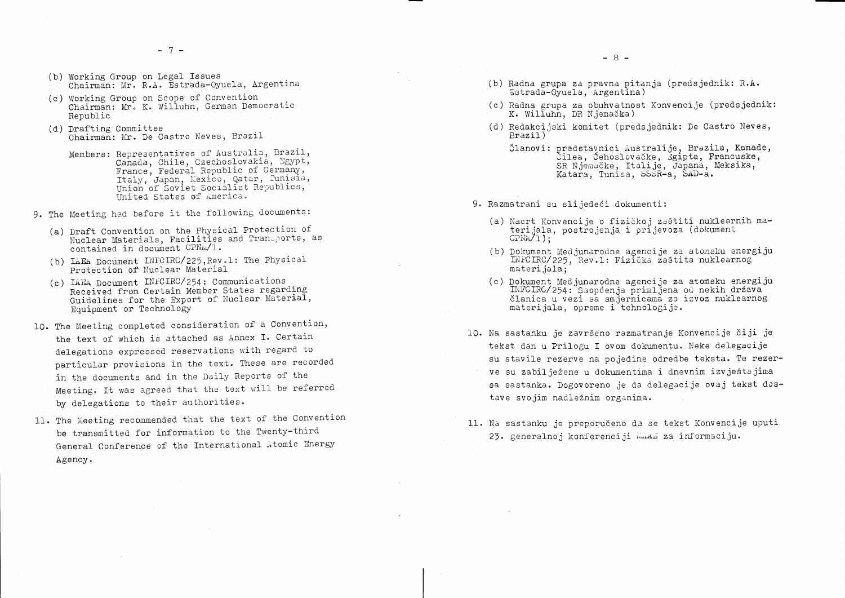- (b) Working Group on Legal Issues Chairman: Mr. R.A. Estrada-Oyuela, Argentina
- (c) Working Group on Scope of Convention Chairman: Mr. K. Willuhn, German Democratic Republic
- (d) Drafting Committee Chairman: Mr. De Castro Neves, Brazil
	- Members: Representatives of Australia, Brazil, Canada, Chile, Czechoslovakia, Egypt, France, Federal Republic of Germany, Italy, Japan, Mexico, Qatar, Tunisia,<br>Union of Soviet Socialist Republics, United States of America.
- 9. The Meeting had before it the following documents:
	- (a) Draft Convention on the Physical Protection of Nuclear Materials, Facilities and Transports, as contained in document CPNM/1.
	- (b) LAEA Document INFCIRC/225. Rev.1: The Physical Protection of Nuclear Material
	- (c) IAEA Document INFCIRC/254: Communications Received from Certain Member States regarding Guidelines for the Export of Nuclear Material, Equipment or Technology
- 10. The Meeting completed consideration of a Convention, the text of which is attached as Annex I. Certain delegations expressed reservations with regard to particular provisions in the text. These are recorded in the documents and in the Daily Reports of the Meeting. It was agreed that the text will be referred by delegations to their authorities.
- 11. The Meeting recommended that the text of the Convention be transmitted for information to the Twenty-third General Conference of the International Atomic Energy Agency.
- (b) Radna grupa za pravna pitanja (predsjednik: R.A. Estrada-Oyuela, Argentina)
- (c) Radna grupa za obuhvatnost Konvencije (predsjednik: K. Willuhn, DR Njemačka)
- (d) Redakcijski komitet (predsjednik: De Castro Neves,  $Brazi1)$ 
	-
- 9. Razmatrani su slijedeći dokumenti:
	- (a) Nacrt Konvencije o fizičkoj zaštiti nuklearnih materijala, postrojenja i prijevoza (dokument  $CPNM/1$ ;
	- (b) Dokument Medjunarodne agencije za atomsku energiju INFCIRC/225, Rev.1: Fizička zaštita nuklearnog materijala:
	- (c) Dokument Medjunarodne agencije za atomsku energiju INFCIRC/254: Saopćenja primljena od nekih država materijala, opreme i tehnologije.
- 10. Na sastanku je završeno razmatranje Konvencije čiji je tekst dan u Prilogu I ovom dokumentu. Neke delegacije su stavile rezerve na pojedine odredbe teksta. Te rezerve su zabilježene u dokumentima i dnevnim izvještajima sa sastanka. Dogovoreno je da delegacije ovaj tekst dostave svojim nadležnim organima.
- 11. Na sastanku je preporučeno da se tekst Konvencije uputi 23. generalnoj konferenciji Maal za informaciju.

Članovi: predstavnici Australije, Brazila, Kanade, Čilea, Čehoslovačke, Žgipta, Francuske, SR Njemačke, Italije, Japana, Meksika, Katara, Tunisa, SSSR-a, SAD-a.

članica u vezi sa smjernicama za izvoz nuklearnog